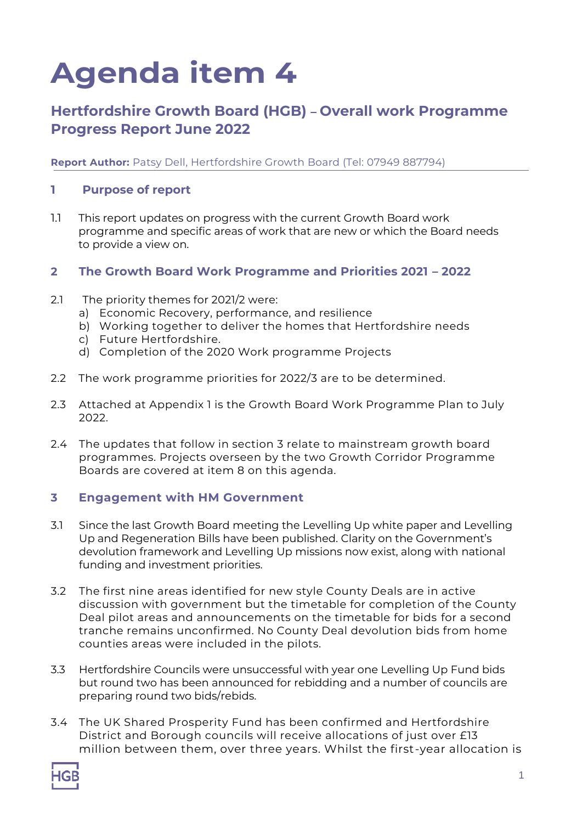# **Agenda item 4**

# **Hertfordshire Growth Board (HGB) – Overall work Programme Progress Report June 2022**

**Report Author:** Patsy Dell, Hertfordshire Growth Board (Tel: 07949 887794)

#### **1 Purpose of report**

1.1 This report updates on progress with the current Growth Board work programme and specific areas of work that are new or which the Board needs to provide a view on.

#### **2 The Growth Board Work Programme and Priorities 2021 – 2022**

- 2.1 The priority themes for 2021/2 were:
	- a) Economic Recovery, performance, and resilience
	- b) Working together to deliver the homes that Hertfordshire needs
	- c) Future Hertfordshire.
	- d) Completion of the 2020 Work programme Projects
- 2.2 The work programme priorities for 2022/3 are to be determined.
- 2.3 Attached at Appendix 1 is the Growth Board Work Programme Plan to July 2022.
- 2.4 The updates that follow in section 3 relate to mainstream growth board programmes. Projects overseen by the two Growth Corridor Programme Boards are covered at item 8 on this agenda.

#### **3 Engagement with HM Government**

- 3.1 Since the last Growth Board meeting the Levelling Up white paper and Levelling Up and Regeneration Bills have been published. Clarity on the Government's devolution framework and Levelling Up missions now exist, along with national funding and investment priorities.
- 3.2 The first nine areas identified for new style County Deals are in active discussion with government but the timetable for completion of the County Deal pilot areas and announcements on the timetable for bids for a second tranche remains unconfirmed. No County Deal devolution bids from home counties areas were included in the pilots.
- 3.3 Hertfordshire Councils were unsuccessful with year one Levelling Up Fund bids but round two has been announced for rebidding and a number of councils are preparing round two bids/rebids.
- 3.4 The UK Shared Prosperity Fund has been confirmed and Hertfordshire District and Borough councils will receive allocations of just over £13 million between them, over three years. Whilst the first-year allocation is

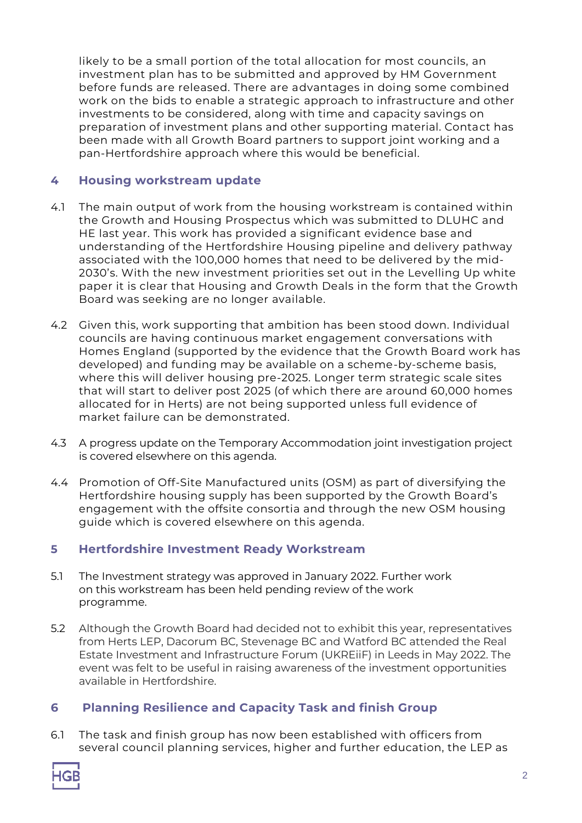likely to be a small portion of the total allocation for most councils, an investment plan has to be submitted and approved by HM Government before funds are released. There are advantages in doing some combined work on the bids to enable a strategic approach to infrastructure and other investments to be considered, along with time and capacity savings on preparation of investment plans and other supporting material. Contact has been made with all Growth Board partners to support joint working and a pan-Hertfordshire approach where this would be beneficial.

### **4 Housing workstream update**

- 4.1 The main output of work from the housing workstream is contained within the Growth and Housing Prospectus which was submitted to DLUHC and HE last year. This work has provided a significant evidence base and understanding of the Hertfordshire Housing pipeline and delivery pathway associated with the 100,000 homes that need to be delivered by the mid-2030's. With the new investment priorities set out in the Levelling Up white paper it is clear that Housing and Growth Deals in the form that the Growth Board was seeking are no longer available.
- 4.2 Given this, work supporting that ambition has been stood down. Individual councils are having continuous market engagement conversations with Homes England (supported by the evidence that the Growth Board work has developed) and funding may be available on a scheme-by-scheme basis, where this will deliver housing pre-2025. Longer term strategic scale sites that will start to deliver post 2025 (of which there are around 60,000 homes allocated for in Herts) are not being supported unless full evidence of market failure can be demonstrated.
- 4.3 A progress update on the Temporary Accommodation joint investigation project is covered elsewhere on this agenda.
- 4.4 Promotion of Off-Site Manufactured units (OSM) as part of diversifying the Hertfordshire housing supply has been supported by the Growth Board's engagement with the offsite consortia and through the new OSM housing guide which is covered elsewhere on this agenda.

# **5 Hertfordshire Investment Ready Workstream**

- 5.1 The Investment strategy was approved in January 2022. Further work on this workstream has been held pending review of the work programme.
- 5.2 Although the Growth Board had decided not to exhibit this year, representatives from Herts LEP, Dacorum BC, Stevenage BC and Watford BC attended the Real Estate Investment and Infrastructure Forum (UKREiiF) in Leeds in May 2022. The event was felt to be useful in raising awareness of the investment opportunities available in Hertfordshire.

# **6 Planning Resilience and Capacity Task and finish Group**

6.1 The task and finish group has now been established with officers from several council planning services, higher and further education, the LEP as